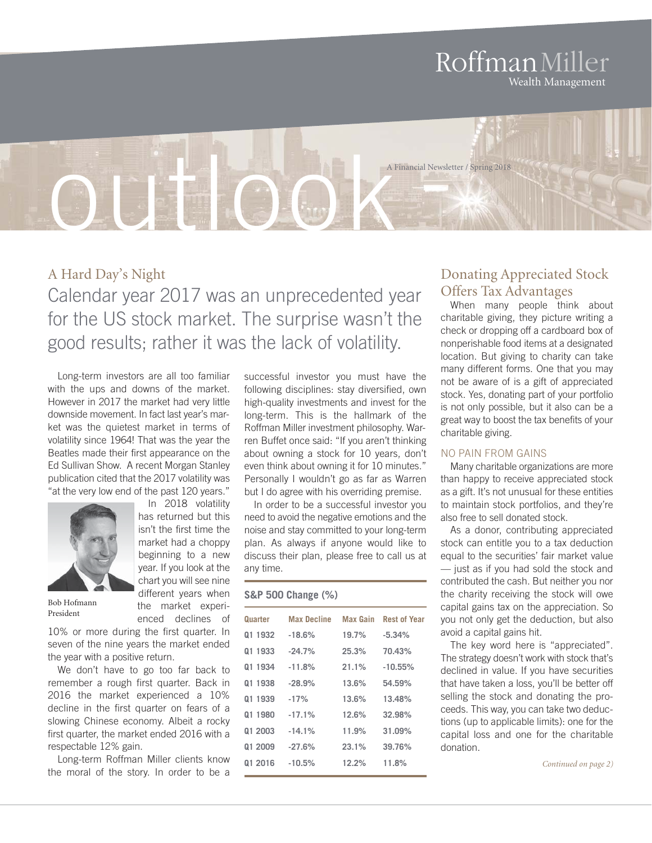### RoffmanMiller Wealth Management

outlook A Financial Newsletter / Spring 2018

## A Hard Day's Night Calendar year 2017 was an unprecedented year for the US stock market. The surprise wasn't the good results; rather it was the lack of volatility.

Long-term investors are all too familiar with the ups and downs of the market. However in 2017 the market had very little downside movement. In fact last year's market was the quietest market in terms of volatility since 1964! That was the year the Beatles made their first appearance on the Ed Sullivan Show. A recent Morgan Stanley publication cited that the 2017 volatility was "at the very low end of the past 120 years."



In 2018 volatility has returned but this isn't the first time the market had a choppy beginning to a new year. If you look at the chart you will see nine different years when the market experienced declines of

Bob Hofmann President

10% or more during the first quarter. In seven of the nine years the market ended the year with a positive return.

We don't have to go too far back to remember a rough first quarter. Back in 2016 the market experienced a 10% decline in the first quarter on fears of a slowing Chinese economy. Albeit a rocky first quarter, the market ended 2016 with a respectable 12% gain.

Long-term Roffman Miller clients know the moral of the story. In order to be a successful investor you must have the following disciplines: stay diversified, own high-quality investments and invest for the long-term. This is the hallmark of the Roffman Miller investment philosophy. Warren Buffet once said: "If you aren't thinking about owning a stock for 10 years, don't even think about owning it for 10 minutes." Personally I wouldn't go as far as Warren but I do agree with his overriding premise.

In order to be a successful investor you need to avoid the negative emotions and the noise and stay committed to your long-term plan. As always if anyone would like to discuss their plan, please free to call us at any time.

#### **S&P 500 Change (%)**

| Quarter | <b>Max Decline</b> | Max Gain | <b>Rest of Year</b> |
|---------|--------------------|----------|---------------------|
| 01 1932 | $-18.6%$           | 19.7%    | $-5.34%$            |
| 01 1933 | $-24.7%$           | 25.3%    | 70.43%              |
| 01 1934 | $-11.8%$           | 21.1%    | $-10.55\%$          |
| 01 1938 | $-28.9%$           | 13.6%    | 54.59%              |
| 01 1939 | $-17%$             | 13.6%    | 13.48%              |
| 01 1980 | $-17.1%$           | 12.6%    | 32.98%              |
| 01 2003 | $-14.1%$           | 11.9%    | 31.09%              |
| 01 2009 | $-27.6%$           | 23.1%    | 39.76%              |
| 01 2016 | $-10.5%$           | 12.2%    | 11.8%               |
|         |                    |          |                     |

#### Donating Appreciated Stock Offers Tax Advantages

When many people think about charitable giving, they picture writing a check or dropping off a cardboard box of nonperishable food items at a designated location. But giving to charity can take many different forms. One that you may not be aware of is a gift of appreciated stock. Yes, donating part of your portfolio is not only possible, but it also can be a great way to boost the tax benefits of your charitable giving.

#### NO PAIN FROM GAINS

Many charitable organizations are more than happy to receive appreciated stock as a gift. It's not unusual for these entities to maintain stock portfolios, and they're also free to sell donated stock.

As a donor, contributing appreciated stock can entitle you to a tax deduction equal to the securities' fair market value — just as if you had sold the stock and contributed the cash. But neither you nor the charity receiving the stock will owe capital gains tax on the appreciation. So you not only get the deduction, but also avoid a capital gains hit.

The key word here is "appreciated". The strategy doesn't work with stock that's declined in value. If you have securities that have taken a loss, you'll be better off selling the stock and donating the proceeds. This way, you can take two deductions (up to applicable limits): one for the capital loss and one for the charitable donation.

*Continued on page 2)*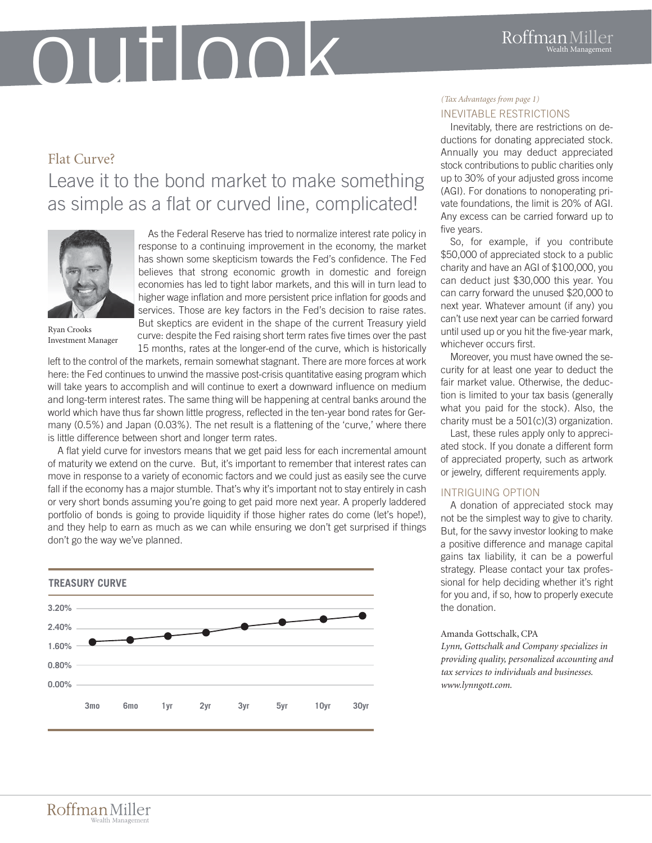## OUTIOOK

## Flat Curve? Leave it to the bond market to make something as simple as a flat or curved line, complicated!



Ryan Crooks Investment Manager

As the Federal Reserve has tried to normalize interest rate policy in response to a continuing improvement in the economy, the market has shown some skepticism towards the Fed's confidence. The Fed believes that strong economic growth in domestic and foreign economies has led to tight labor markets, and this will in turn lead to higher wage inflation and more persistent price inflation for goods and services. Those are key factors in the Fed's decision to raise rates. But skeptics are evident in the shape of the current Treasury yield curve: despite the Fed raising short term rates five times over the past 15 months, rates at the longer-end of the curve, which is historically

left to the control of the markets, remain somewhat stagnant. There are more forces at work here: the Fed continues to unwind the massive post-crisis quantitative easing program which will take years to accomplish and will continue to exert a downward influence on medium and long-term interest rates. The same thing will be happening at central banks around the world which have thus far shown little progress, reflected in the ten-year bond rates for Germany (0.5%) and Japan (0.03%). The net result is a flattening of the 'curve,' where there is little difference between short and longer term rates.

A flat yield curve for investors means that we get paid less for each incremental amount of maturity we extend on the curve. But, it's important to remember that interest rates can move in response to a variety of economic factors and we could just as easily see the curve fall if the economy has a major stumble. That's why it's important not to stay entirely in cash or very short bonds assuming you're going to get paid more next year. A properly laddered portfolio of bonds is going to provide liquidity if those higher rates do come (let's hope!), and they help to earn as much as we can while ensuring we don't get surprised if things don't go the way we've planned.



#### INEVITABLE RESTRICTIONS *(Tax Advantages from page 1)*

Inevitably, there are restrictions on deductions for donating appreciated stock. Annually you may deduct appreciated stock contributions to public charities only up to 30% of your adjusted gross income (AGI). For donations to nonoperating private foundations, the limit is 20% of AGI. Any excess can be carried forward up to five years.

So, for example, if you contribute \$50,000 of appreciated stock to a public charity and have an AGI of \$100,000, you can deduct just \$30,000 this year. You can carry forward the unused \$20,000 to next year. Whatever amount (if any) you can't use next year can be carried forward until used up or you hit the five-year mark, whichever occurs first.

Moreover, you must have owned the security for at least one year to deduct the fair market value. Otherwise, the deduction is limited to your tax basis (generally what you paid for the stock). Also, the charity must be a 501(c)(3) organization.

Last, these rules apply only to appreciated stock. If you donate a different form of appreciated property, such as artwork or jewelry, different requirements apply.

#### INTRIGUING OPTION

A donation of appreciated stock may not be the simplest way to give to charity. But, for the savvy investor looking to make a positive difference and manage capital gains tax liability, it can be a powerful strategy. Please contact your tax professional for help deciding whether it's right for you and, if so, how to properly execute the donation.

#### Amanda Gottschalk, CPA

*Lynn, Gottschalk and Company specializes in providing quality, personalized accounting and tax services to individuals and businesses. www.lynngott.com.*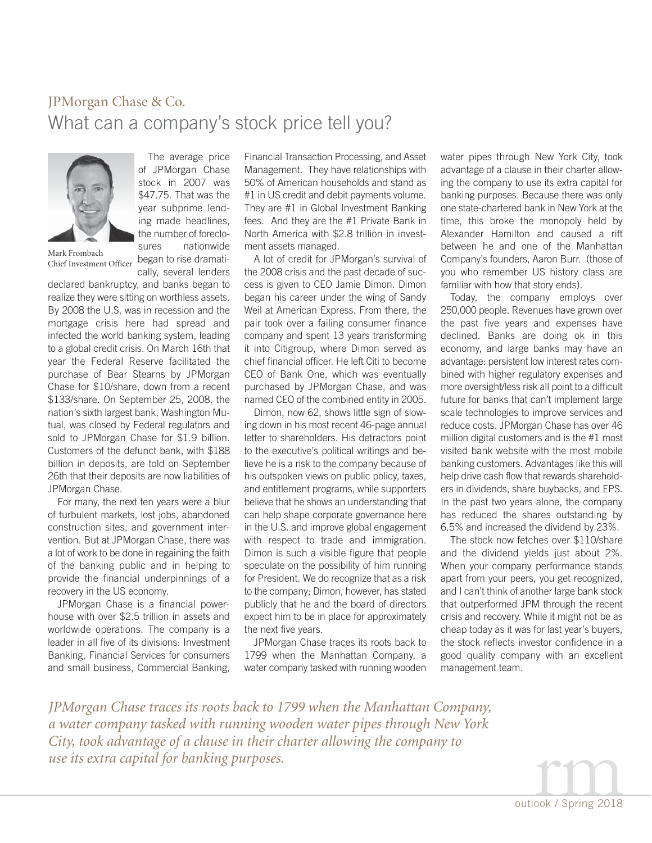### JPMorgan Chase & Co. What can a company's stock price tell you?



The average price of JPMorgan Chase stock in 2007 was \$47.75. That was the year subprime lending made headlines, the number of foreclosures nationwide

Mark Frombach Chief Investment Officer

began to rise dramatically, several lenders

declared bankruptcy, and banks began to realize they were sitting on worthless assets. By 2008 the U.S. was in recession and the mortgage crisis here had spread and infected the world banking system, leading to a global credit crisis. On March 16th that year the Federal Reserve facilitated the purchase of Bear Stearns by JPMorgan Chase for \$10/share, down from a recent \$133/share. On September 25, 2008, the nation's sixth largest bank, Washington Mutual, was closed by Federal regulators and sold to JPMorgan Chase for \$1.9 billion. Customers of the defunct bank, with \$188 billion in deposits, are told on September 26th that their deposits are now liabilities of JPMorgan Chase.

For many, the next ten years were a blur of turbulent markets, lost jobs, abandoned construction sites, and government intervention. But at JPMorgan Chase, there was a lot of work to be done in regaining the faith of the banking public and in helping to provide the financial underpinnings of a recovery in the US economy.

JPMorgan Chase is a financial powerhouse with over \$2.5 trillion in assets and worldwide operations. The company is a leader in all five of its divisions: Investment Banking, Financial Services for consumers and small business, Commercial Banking,

Financial Transaction Processing, and Asset Management. They have relationships with 50% of American households and stand as #1 in US credit and debit payments volume. They are #1 in Global Investment Banking fees. And they are the #1 Private Bank in North America with \$2.8 trillion in investment assets managed.

A lot of credit for JPMorgan's survival of the 2008 crisis and the past decade of success is given to CEO Jamie Dimon. Dimon began his career under the wing of Sandy Weil at American Express. From there, the pair took over a failing consumer finance company and spent 13 years transforming it into Citigroup, where Dimon served as chief financial officer. He left Citi to become CEO of Bank One, which was eventually purchased by JPMorgan Chase, and was named CEO of the combined entity in 2005.

Dimon, now 62, shows little sign of slowing down in his most recent 46-page annual letter to shareholders. His detractors point to the executive's political writings and believe he is a risk to the company because of his outspoken views on public policy, taxes, and entitlement programs, while supporters believe that he shows an understanding that can help shape corporate governance here in the U.S. and improve global engagement with respect to trade and immigration. Dimon is such a visible figure that people speculate on the possibility of him running for President. We do recognize that as a risk to the company; Dimon, however, has stated publicly that he and the board of directors expect him to be in place for approximately the next five years.

JPMorgan Chase traces its roots back to 1799 when the Manhattan Company, a water company tasked with running wooden

water pipes through New York City, took advantage of a clause in their charter allowing the company to use its extra capital for banking purposes. Because there was only one state-chartered bank in New York at the time, this broke the monopoly held by Alexander Hamilton and caused a rift between he and one of the Manhattan Company's founders, Aaron Burr. (those of you who remember US history class are familiar with how that story ends).

Today, the company employs over 250,000 people. Revenues have grown over the past five years and expenses have declined. Banks are doing ok in this economy, and large banks may have an advantage: persistent low interest rates combined with higher regulatory expenses and more oversight/less risk all point to a difficult future for banks that can't implement large scale technologies to improve services and reduce costs. JPMorgan Chase has over 46 million digital customers and is the #1 most visited bank website with the most mobile banking customers. Advantages like this will help drive cash flow that rewards shareholders in dividends, share buybacks, and EPS. In the past two years alone, the company has reduced the shares outstanding by 6.5% and increased the dividend by 23%.

The stock now fetches over \$110/share and the dividend yields just about 2%. When your company performance stands apart from your peers, you get recognized, and I can't think of another large bank stock that outperformed JPM through the recent crisis and recovery. While it might not be as cheap today as it was for last year's buyers, the stock reflects investor confidence in a good quality company with an excellent management team.

*JPMorgan Chase traces its roots back to 1799 when the Manhattan Company, a water company tasked with running wooden water pipes through New York City, took advantage of a clause in their charter allowing the company to use its extra capital for banking purposes.*